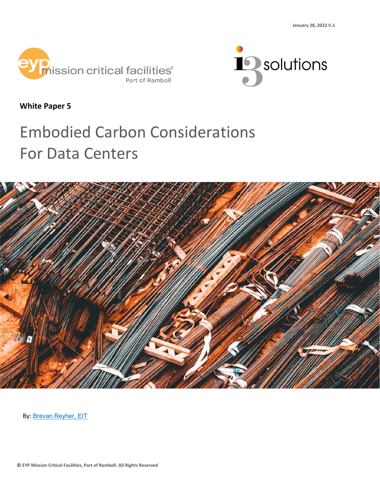



**White Paper 5**

# Embodied Carbon Considerations For Data Centers



By: [Brevan Reyher, EIT](https://www.linkedin.com/in/brevanreyher/)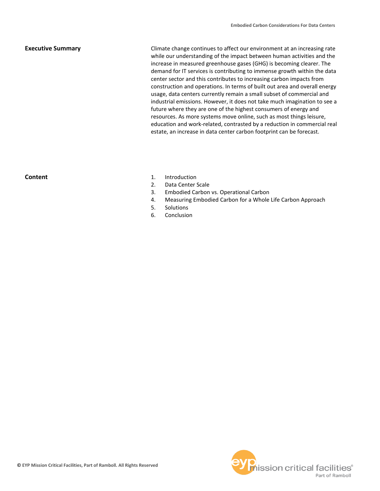# **Executive Summary**

Climate change continues to affect our environment at an increasing rate while our understanding of the impact between human activities and the increase in measured greenhouse gases (GHG) is becoming clearer. The demand for IT services is contributing to immense growth within the data center sector and this contributes to increasing carbon impacts from construction and operations. In terms of built out area and overall energy usage, data centers currently remain a small subset of commercial and industrial emissions. However, it does not take much imagination to see a future where they are one of the highest consumers of energy and resources. As more systems move online, such as most things leisure, education and work-related, contrasted by a reduction in commercial real estate, an increase in data center carbon footprint can be forecast.

# **Content**

- 1. Introduction
- 2. Data Center Scale
- 3. Embodied Carbon vs. Operational Carbon
- 4. Measuring Embodied Carbon for a Whole Life Carbon Approach
- 5. Solutions
- 6. Conclusion

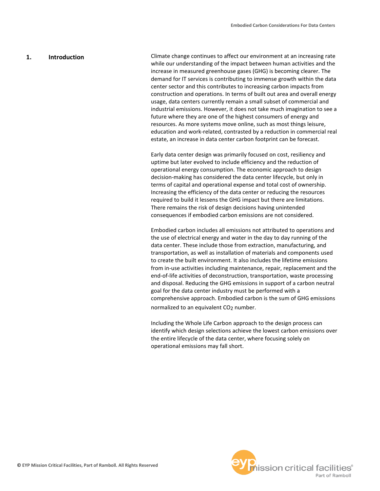### **1. Introduction**

Climate change continues to affect our environment at an increasing rate while our understanding of the impact between human activities and the increase in measured greenhouse gases (GHG) is becoming clearer. The demand for IT services is contributing to immense growth within the data center sector and this contributes to increasing carbon impacts from construction and operations. In terms of built out area and overall energy usage, data centers currently remain a small subset of commercial and industrial emissions. However, it does not take much imagination to see a future where they are one of the highest consumers of energy and resources. As more systems move online, such as most things leisure, education and work-related, contrasted by a reduction in commercial real estate, an increase in data center carbon footprint can be forecast.

Early data center design was primarily focused on cost, resiliency and uptime but later evolved to include efficiency and the reduction of operational energy consumption. The economic approach to design decision-making has considered the data center lifecycle, but only in terms of capital and operational expense and total cost of ownership. Increasing the efficiency of the data center or reducing the resources required to build it lessens the GHG impact but there are limitations. There remains the risk of design decisions having unintended consequences if embodied carbon emissions are not considered.

Embodied carbon includes all emissions not attributed to operations and the use of electrical energy and water in the day to day running of the data center. These include those from extraction, manufacturing, and transportation, as well as installation of materials and components used to create the built environment. It also includes the lifetime emissions from in-use activities including maintenance, repair, replacement and the end-of-life activities of deconstruction, transportation, waste processing and disposal. Reducing the GHG emissions in support of a carbon neutral goal for the data center industry must be performed with a comprehensive approach. Embodied carbon is the sum of GHG emissions normalized to an equivalent CO2 number.

Including the Whole Life Carbon approach to the design process can identify which design selections achieve the lowest carbon emissions over the entire lifecycle of the data center, where focusing solely on operational emissions may fall short.

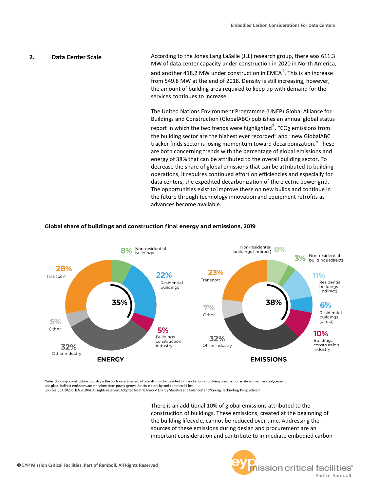## According to the Jones Lang LaSalle (JLL) research group, there was 611.3 MW of data center capacity under construction in 2020 in North America, and another 418.2 MW under construction in EMEA $^{\text{1}}$ . This is an increase from 549.8 MW at the end of 2018. Density is still increasing, however, the amount of building area required to keep up with demand for the services continues to increase. **2. Data Center Scale**

The United Nations Environment Programme (UNEP) Global Alliance for Buildings and Construction (GlobalABC) publishes an annual global status report in which the two trends were highlighted $^2$ . "CO<sub>2</sub> emissions from the building sector are the highest ever recorded" and "new GlobalABC tracker finds sector is losing momentum toward decarbonization." These are both concerning trends with the percentage of global emissions and energy of 38% that can be attributed to the overall building sector. To decrease the share of global emissions that can be attributed to building operations, it requires continued effort on efficiencies and especially for data centers, the expedited decarbonization of the electric power grid. The opportunities exist to improve these on new builds and continue in the future through technology innovation and equipment retrofits as advances become available.



## Global share of buildings and construction final energy and emissions, 2019

Notes: Buildings construction industry is the portion (estimated) of overall industry devoted to manufacturing building construction materials such as steel, cement, and glass. Indirect emissions are emissions from power generation for electricity and commercial heat.

Sources: (IEA 2020d; IEA 2020b). All rights reserved. Adapted from "IEA World Energy Statistics and Balances" and "Energy Technology Perspectives".

There is an additional 10% of global emissions attributed to the construction of buildings. These emissions, created at the beginning of the building lifecycle, cannot be reduced over time. Addressing the sources of these emissions during design and procurement are an important consideration and contribute to immediate embodied carbon

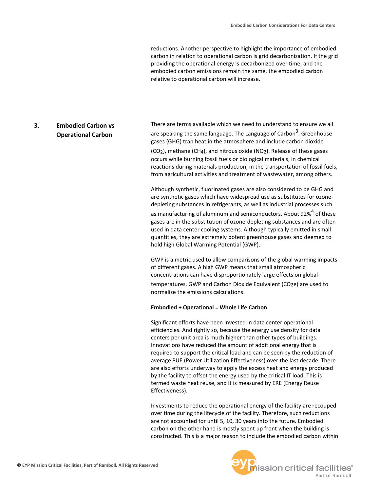reductions. Another perspective to highlight the importance of embodied carbon in relation to operational carbon is grid decarbonization. If the grid providing the operational energy is decarbonized over time, and the embodied carbon emissions remain the same, the embodied carbon relative to operational carbon will increase.

# **3. Embodied Carbon vs Operational Carbon**

There are terms available which we need to understand to ensure we all are speaking the same language. The Language of Carbon<sup>3</sup>. Greenhouse gases (GHG) trap heat in the atmosphere and include carbon dioxide (CO2), methane (CH4), and nitrous oxide (NO2). Release of these gases occurs while burning fossil fuels or biological materials, in chemical reactions during materials production, in the transportation of fossil fuels, from agricultural activities and treatment of wastewater, among others.

Although synthetic, fluorinated gases are also considered to be GHG and are synthetic gases which have widespread use as substitutes for ozonedepleting substances in refrigerants, as well as industrial processes such as manufacturing of aluminum and semiconductors. About 92% $4$  of these gases are in the substitution of ozone-depleting substances and are often used in data center cooling systems. Although typically emitted in small quantities, they are extremely potent greenhouse gases and deemed to hold high Global Warming Potential (GWP).

GWP is a metric used to allow comparisons of the global warming impacts of different gases. A high GWP means that small atmospheric concentrations can have disproportionately large effects on global temperatures. GWP and Carbon Dioxide Equivalent (CO2e) are used to normalize the emissions calculations.

# **Embodied + Operational = Whole Life Carbon**

Significant efforts have been invested in data center operational efficiencies. And rightly so, because the energy use density for data centers per unit area is much higher than other types of buildings. Innovations have reduced the amount of additional energy that is required to support the critical load and can be seen by the reduction of average PUE (Power Utilization Effectiveness) over the last decade. There are also efforts underway to apply the excess heat and energy produced by the facility to offset the energy used by the critical IT load. This is termed waste heat reuse, and it is measured by ERE (Energy Reuse Effectiveness).

Investments to reduce the operational energy of the facility are recouped over time during the lifecycle of the facility. Therefore, such reductions are not accounted for until 5, 10, 30 years into the future. Embodied carbon on the other hand is mostly spent up front when the building is constructed. This is a major reason to include the embodied carbon within

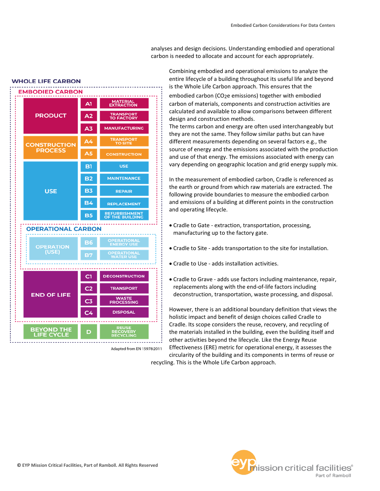analyses and design decisions. Understanding embodied and operational carbon is needed to allocate and account for each appropriately.

Combining embodied and operational emissions to analyze the entire lifecycle of a building throughout its useful life and beyond is the Whole Life Carbon approach. This ensures that the

embodied carbon (CO2e emissions) together with embodied carbon of materials, components and construction activities are calculated and available to allow comparisons between different design and construction methods.

The terms carbon and energy are often used interchangeably but they are not the same. They follow similar paths but can have different measurements depending on several factors e.g., the source of energy and the emissions associated with the production and use of that energy. The emissions associated with energy can vary depending on geographic location and grid energy supply mix.

In the measurement of embodied carbon, Cradle is referenced as the earth or ground from which raw materials are extracted. The following provide boundaries to measure the embodied carbon and emissions of a building at different points in the construction and operating lifecycle.

- Cradle to Gate extraction, transportation, processing, manufacturing up to the factory gate.
- Cradle to Site adds transportation to the site for installation.
- Cradle to Use adds installation activities.
- Cradle to Grave adds use factors including maintenance, repair, replacements along with the end-of-life factors including deconstruction, transportation, waste processing, and disposal.

However, there is an additional boundary definition that views the holistic impact and benefit of design choices called Cradle to Cradle. Its scope considers the reuse, recovery, and recycling of the materials installed in the building, even the building itself and other activities beyond the lifecycle. Like the Energy Reuse Effectiveness (ERE) metric for operational energy, it assesses the circularity of the building and its components in terms of reuse or recycling. This is the Whole Life Carbon approach.



Adapted from EN 15978:2011



**WHOLE LIFE CARBON**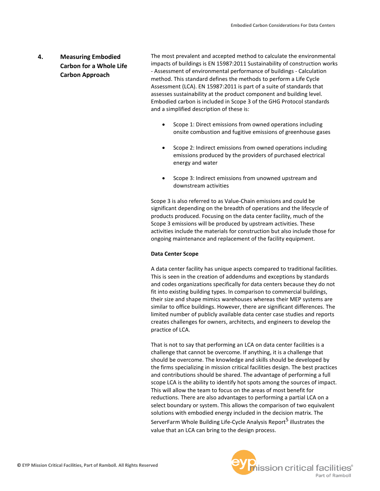# **4. Measuring Embodied Carbon for a Whole Life Carbon Approach**

The most prevalent and accepted method to calculate the environmental impacts of buildings is EN 15987:2011 Sustainability of construction works - Assessment of environmental performance of buildings - Calculation method. This standard defines the methods to perform a Life Cycle Assessment (LCA). EN 15987:2011 is part of a suite of standards that assesses sustainability at the product component and building level. Embodied carbon is included in Scope 3 of the GHG Protocol standards and a simplified description of these is:

- Scope 1: Direct emissions from owned operations including onsite combustion and fugitive emissions of greenhouse gases
- Scope 2: Indirect emissions from owned operations including emissions produced by the providers of purchased electrical energy and water
- Scope 3: Indirect emissions from unowned upstream and downstream activities

Scope 3 is also referred to as Value-Chain emissions and could be significant depending on the breadth of operations and the lifecycle of products produced. Focusing on the data center facility, much of the Scope 3 emissions will be produced by upstream activities. These activities include the materials for construction but also include those for ongoing maintenance and replacement of the facility equipment.

# **Data Center Scope**

A data center facility has unique aspects compared to traditional facilities. This is seen in the creation of addendums and exceptions by standards and codes organizations specifically for data centers because they do not fit into existing building types. In comparison to commercial buildings, their size and shape mimics warehouses whereas their MEP systems are similar to office buildings. However, there are significant differences. The limited number of publicly available data center case studies and reports creates challenges for owners, architects, and engineers to develop the practice of LCA.

That is not to say that performing an LCA on data center facilities is a challenge that cannot be overcome. If anything, it is a challenge that should be overcome. The knowledge and skills should be developed by the firms specializing in mission critical facilities design. The best practices and contributions should be shared. The advantage of performing a full scope LCA is the ability to identify hot spots among the sources of impact. This will allow the team to focus on the areas of most benefit for reductions. There are also advantages to performing a partial LCA on a select boundary or system. This allows the comparison of two equivalent solutions with embodied energy included in the decision matrix. The ServerFarm Whole Building Life-Cycle Analysis Report<sup>5</sup> illustrates the value that an LCA can bring to the design process.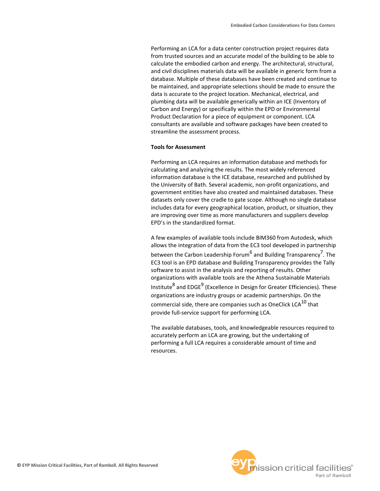Performing an LCA for a data center construction project requires data from trusted sources and an accurate model of the building to be able to calculate the embodied carbon and energy. The architectural, structural, and civil disciplines materials data will be available in generic form from a database. Multiple of these databases have been created and continue to be maintained, and appropriate selections should be made to ensure the data is accurate to the project location. Mechanical, electrical, and plumbing data will be available generically within an ICE (Inventory of Carbon and Energy) or specifically within the EPD or Environmental Product Declaration for a piece of equipment or component. LCA consultants are available and software packages have been created to streamline the assessment process.

#### **Tools for Assessment**

Performing an LCA requires an information database and methods for calculating and analyzing the results. The most widely referenced information database is the ICE database, researched and published by the University of Bath. Several academic, non-profit organizations, and government entities have also created and maintained databases. These datasets only cover the cradle to gate scope. Although no single database includes data for every geographical location, product, or situation, they are improving over time as more manufacturers and suppliers develop EPD's in the standardized format.

A few examples of available tools include BIM360 from Autodesk, which allows the integration of data from the EC3 tool developed in partnership between the Carbon Leadership Forum<sup>6</sup> and Building Transparency<sup>7</sup>. The EC3 tool is an EPD database and Building Transparency provides the Tally software to assist in the analysis and reporting of results. Other organizations with available tools are the Athena Sustainable Materials Institute<sup>8</sup> and EDGE<sup>9</sup> (Excellence in Design for Greater Efficiencies). These organizations are industry groups or academic partnerships. On the commercial side, there are companies such as OneClick LCA $^{10}$  that provide full-service support for performing LCA.

The available databases, tools, and knowledgeable resources required to accurately perform an LCA are growing, but the undertaking of performing a full LCA requires a considerable amount of time and resources.

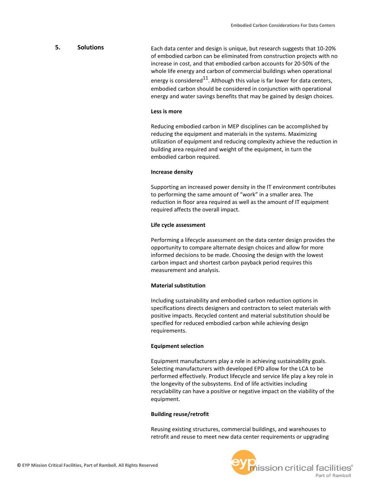# Each data center and design is unique, but research suggests that 10-20% of embodied carbon can be eliminated from construction projects with no increase in cost, and that embodied carbon accounts for 20-50% of the whole life energy and carbon of commercial buildings when operational energy is considered<sup>11</sup>. Although this value is far lower for data centers, embodied carbon should be considered in conjunction with operational energy and water savings benefits that may be gained by design choices. **5. Solutions**

## **Less is more**

Reducing embodied carbon in MEP disciplines can be accomplished by reducing the equipment and materials in the systems. Maximizing utilization of equipment and reducing complexity achieve the reduction in building area required and weight of the equipment, in turn the embodied carbon required.

#### **Increase density**

Supporting an increased power density in the IT environment contributes to performing the same amount of "work" in a smaller area. The reduction in floor area required as well as the amount of IT equipment required affects the overall impact.

#### **Life cycle assessment**

Performing a lifecycle assessment on the data center design provides the opportunity to compare alternate design choices and allow for more informed decisions to be made. Choosing the design with the lowest carbon impact and shortest carbon payback period requires this measurement and analysis.

# **Material substitution**

Including sustainability and embodied carbon reduction options in specifications directs designers and contractors to select materials with positive impacts. Recycled content and material substitution should be specified for reduced embodied carbon while achieving design requirements.

#### **Equipment selection**

Equipment manufacturers play a role in achieving sustainability goals. Selecting manufacturers with developed EPD allow for the LCA to be performed effectively. Product lifecycle and service life play a key role in the longevity of the subsystems. End of life activities including recyclability can have a positive or negative impact on the viability of the equipment.

#### **Building reuse/retrofit**

Reusing existing structures, commercial buildings, and warehouses to retrofit and reuse to meet new data center requirements or upgrading

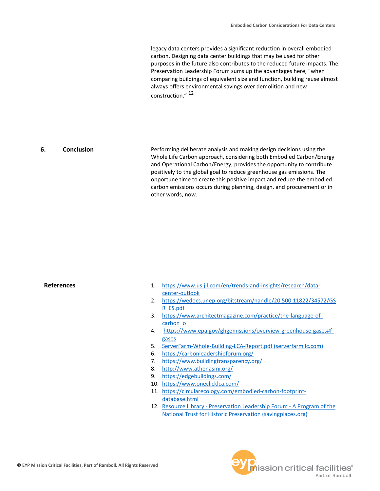legacy data centers provides a significant reduction in overall embodied carbon. Designing data center buildings that may be used for other purposes in the future also contributes to the reduced future impacts. The Preservation Leadership Forum sums up the advantages here, "when comparing buildings of equivalent size and function, building reuse almost always offers environmental savings over demolition and new construction." <sup>12</sup>

Performing deliberate analysis and making design decisions using the Whole Life Carbon approach, considering both Embodied Carbon/Energy and Operational Carbon/Energy, provides the opportunity to contribute positively to the global goal to reduce greenhouse gas emissions. The opportune time to create this positive impact and reduce the embodied carbon emissions occurs during planning, design, and procurement or in other words, now. **6. Conclusion**

# **References**

- 1. [https://www.us.jll.com/en/trends-and-insights/research/data](https://www.us.jll.com/en/trends-and-insights/research/data-center-outlook)[center-outlook](https://www.us.jll.com/en/trends-and-insights/research/data-center-outlook)
- 2. [https://wedocs.unep.org/bitstream/handle/20.500.11822/34572/GS](https://wedocs.unep.org/bitstream/handle/20.500.11822/34572/GSR_ES.pdf) [R\\_ES.pdf](https://wedocs.unep.org/bitstream/handle/20.500.11822/34572/GSR_ES.pdf)
- 3. [https://www.architectmagazine.com/practice/the-language-of](https://www.architectmagazine.com/practice/the-language-of-carbon_o)[carbon\\_o](https://www.architectmagazine.com/practice/the-language-of-carbon_o)
- 4. [https://www.epa.gov/ghgemissions/overview-greenhouse-gases#f](https://www.epa.gov/ghgemissions/overview-greenhouse-gases#f-gases)[gases](https://www.epa.gov/ghgemissions/overview-greenhouse-gases#f-gases)
- 5. [ServerFarm-Whole-Building-LCA-Report.pdf \(serverfarmllc.com\)](https://www.serverfarmllc.com/wp-content/uploads/2020/04/ServerFarm-Whole-Building-LCA-Report.pdf)
- 6. <https://carbonleadershipforum.org/>
- 7. <https://www.buildingtransparency.org/>
- 8. <http://www.athenasmi.org/>
- 9. <https://edgebuildings.com/>
- 10. <https://www.oneclicklca.com/>
- 11. [https://circularecology.com/embodied-carbon-footprint](https://circularecology.com/embodied-carbon-footprint-database.html)[database.html](https://circularecology.com/embodied-carbon-footprint-database.html)
- 12. Resource Library [Preservation Leadership Forum -](https://forum.savingplaces.org/viewdocument/the-greenest-building-quantifying) A Program of the [National Trust for Historic Preservation \(savingplaces.org\)](https://forum.savingplaces.org/viewdocument/the-greenest-building-quantifying)